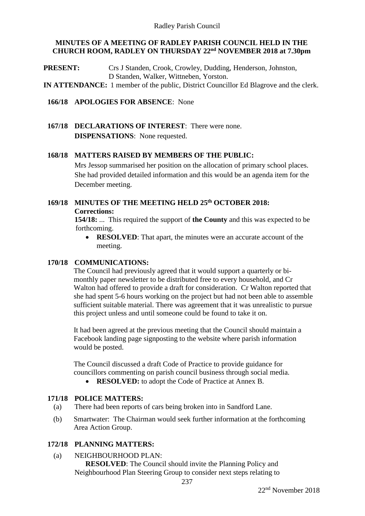### **MINUTES OF A MEETING OF RADLEY PARISH COUNCIL HELD IN THE CHURCH ROOM, RADLEY ON THURSDAY 22nd NOVEMBER 2018 at 7.30pm**

**PRESENT:** Crs J Standen, Crook, Crowley, Dudding, Henderson, Johnston, D Standen, Walker, Wittneben, Yorston.

**IN ATTENDANCE:** 1 member of the public, District Councillor Ed Blagrove and the clerk.

#### **166/18 APOLOGIES FOR ABSENCE**: None

**167/18 DECLARATIONS OF INTEREST**: There were none. **DISPENSATIONS**: None requested.

#### **168/18 MATTERS RAISED BY MEMBERS OF THE PUBLIC:**

Mrs Jessop summarised her position on the allocation of primary school places. She had provided detailed information and this would be an agenda item for the December meeting.

## **169/18 MINUTES OF THE MEETING HELD 25 th OCTOBER 2018: Corrections:**

**154/18:** ... This required the support of **the County** and this was expected to be forthcoming.

• **RESOLVED**: That apart, the minutes were an accurate account of the meeting.

### **170/18 COMMUNICATIONS:**

The Council had previously agreed that it would support a quarterly or bimonthly paper newsletter to be distributed free to every household, and Cr Walton had offered to provide a draft for consideration. Cr Walton reported that she had spent 5-6 hours working on the project but had not been able to assemble sufficient suitable material. There was agreement that it was unrealistic to pursue this project unless and until someone could be found to take it on.

It had been agreed at the previous meeting that the Council should maintain a Facebook landing page signposting to the website where parish information would be posted.

The Council discussed a draft Code of Practice to provide guidance for councillors commenting on parish council business through social media.

• **RESOLVED:** to adopt the Code of Practice at Annex B.

### **171/18 POLICE MATTERS:**

- (a) There had been reports of cars being broken into in Sandford Lane.
- (b) Smartwater: The Chairman would seek further information at the forthcoming Area Action Group.

### **172/18 PLANNING MATTERS:**

(a) NEIGHBOURHOOD PLAN: **RESOLVED**: The Council should invite the Planning Policy and Neighbourhood Plan Steering Group to consider next steps relating to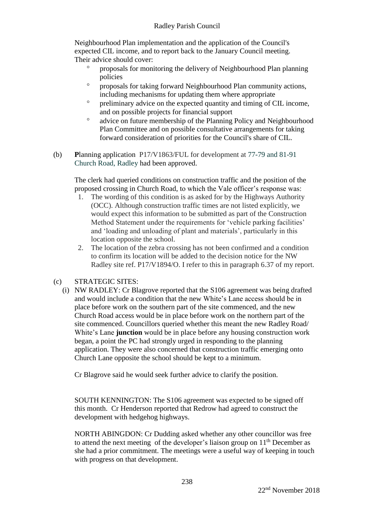Neighbourhood Plan implementation and the application of the Council's expected CIL income, and to report back to the January Council meeting. Their advice should cover:

- proposals for monitoring the delivery of Neighbourhood Plan planning policies
- proposals for taking forward Neighbourhood Plan community actions, including mechanisms for updating them where appropriate
- <sup>o</sup> preliminary advice on the expected quantity and timing of CIL income, and on possible projects for financial support
- advice on future membership of the Planning Policy and Neighbourhood Plan Committee and on possible consultative arrangements for taking forward consideration of priorities for the Council's share of CIL.
- (b) **P**lanning application P17/V1863/FUL for development at 77-79 and 81-91 Church Road, Radley had been approved.

The clerk had queried conditions on construction traffic and the position of the proposed crossing in Church Road, to which the Vale officer's response was:

- 1. The wording of this condition is as asked for by the Highways Authority (OCC). Although construction traffic times are not listed explicitly, we would expect this information to be submitted as part of the Construction Method Statement under the requirements for 'vehicle parking facilities' and 'loading and unloading of plant and materials', particularly in this location opposite the school.
- 2. The location of the zebra crossing has not been confirmed and a condition to confirm its location will be added to the decision notice for the NW Radley site ref. P17/V1894/O. I refer to this in paragraph 6.37 of my report.

# (c) STRATEGIC SITES:

(i) NW RADLEY: Cr Blagrove reported that the S106 agreement was being drafted and would include a condition that the new White's Lane access should be in place before work on the southern part of the site commenced, and the new Church Road access would be in place before work on the northern part of the site commenced. Councillors queried whether this meant the new Radley Road/ White's Lane **junction** would be in place before any housing construction work began, a point the PC had strongly urged in responding to the planning application. They were also concerned that construction traffic emerging onto Church Lane opposite the school should be kept to a minimum.

Cr Blagrove said he would seek further advice to clarify the position.

SOUTH KENNINGTON: The S106 agreement was expected to be signed off this month. Cr Henderson reported that Redrow had agreed to construct the development with hedgehog highways.

NORTH ABINGDON: Cr Dudding asked whether any other councillor was free to attend the next meeting of the developer's liaison group on  $11<sup>th</sup>$  December as she had a prior commitment. The meetings were a useful way of keeping in touch with progress on that development.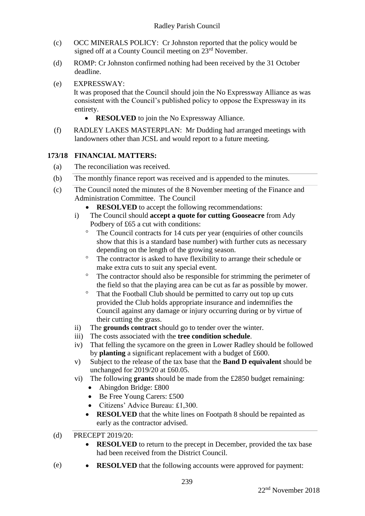- (c) OCC MINERALS POLICY: Cr Johnston reported that the policy would be signed off at a County Council meeting on  $23<sup>rd</sup>$  November.
- (d) ROMP: Cr Johnston confirmed nothing had been received by the 31 October deadline.
- (e) EXPRESSWAY: It was proposed that the Council should join the No Expressway Alliance as was consistent with the Council's published policy to oppose the Expressway in its entirety.
	- **RESOLVED** to join the No Expressway Alliance.
- (f) RADLEY LAKES MASTERPLAN: Mr Dudding had arranged meetings with landowners other than JCSL and would report to a future meeting.

### **173/18 FINANCIAL MATTERS:**

- (a) The reconciliation was received.
- (b) The monthly finance report was received and is appended to the minutes.
- (c) The Council noted the minutes of the 8 November meeting of the Finance and Administration Committee. The Council
	- **RESOLVED** to accept the following recommendations:
	- i) The Council should **accept a quote for cutting Gooseacre** from Ady Podbery of £65 a cut with conditions:
		- <sup>o</sup> The Council contracts for 14 cuts per year (enquiries of other councils show that this is a standard base number) with further cuts as necessary depending on the length of the growing season.
		- <sup>o</sup> The contractor is asked to have flexibility to arrange their schedule or make extra cuts to suit any special event.
		- <sup>o</sup> The contractor should also be responsible for strimming the perimeter of the field so that the playing area can be cut as far as possible by mower.
		- <sup>o</sup> That the Football Club should be permitted to carry out top up cuts provided the Club holds appropriate insurance and indemnifies the Council against any damage or injury occurring during or by virtue of their cutting the grass.
	- ii) The **grounds contract** should go to tender over the winter.
	- iii) The costs associated with the **tree condition schedule**.
	- iv) That felling the sycamore on the green in Lower Radley should be followed by **planting** a significant replacement with a budget of £600.
	- v) Subject to the release of the tax base that the **Band D equivalent** should be unchanged for 2019/20 at £60.05.
	- vi) The following **grants** should be made from the £2850 budget remaining:
		- Abingdon Bridge: £800
		- Be Free Young Carers: £500
		- Citizens' Advice Bureau: £1,300.
		- **RESOLVED** that the white lines on Footpath 8 should be repainted as early as the contractor advised.

### (d) PRECEPT 2019/20:

- **RESOLVED** to return to the precept in December, provided the tax base had been received from the District Council.
- (e) **RESOLVED** that the following accounts were approved for payment: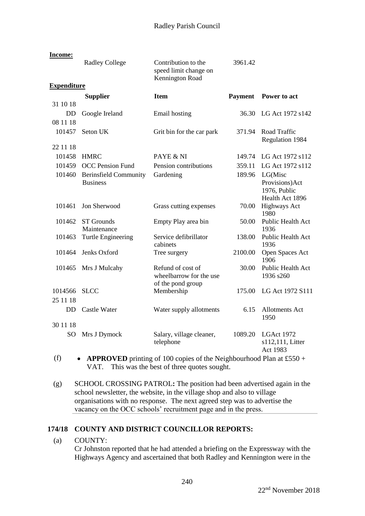| Income:                     |                                                 |                                                                   |                |                                                              |
|-----------------------------|-------------------------------------------------|-------------------------------------------------------------------|----------------|--------------------------------------------------------------|
|                             | <b>Radley College</b>                           | Contribution to the<br>speed limit change on<br>Kennington Road   | 3961.42        |                                                              |
| <b>Expenditure</b>          |                                                 |                                                                   |                |                                                              |
| 31 10 18                    | <b>Supplier</b>                                 | <b>Item</b>                                                       | <b>Payment</b> | Power to act                                                 |
| <b>DD</b>                   | Google Ireland                                  | Email hosting                                                     | 36.30          | LG Act 1972 s142                                             |
| 08 11 18<br>101457          | Seton UK                                        | Grit bin for the car park                                         | 371.94         | Road Traffic<br>Regulation 1984                              |
| 22 11 18                    |                                                 |                                                                   |                |                                                              |
| 101458                      | <b>HMRC</b>                                     | PAYE & NI                                                         | 149.74         | LG Act 1972 s112                                             |
| 101459                      | <b>OCC</b> Pension Fund                         | Pension contributions                                             | 359.11         | LG Act 1972 s112                                             |
| 101460                      | <b>Berinsfield Community</b><br><b>Business</b> | Gardening                                                         | 189.96         | LG(Misc<br>Provisions)Act<br>1976, Public<br>Health Act 1896 |
| 101461                      | Jon Sherwood                                    | Grass cutting expenses                                            | 70.00          | <b>Highways Act</b><br>1980                                  |
| 101462                      | <b>ST</b> Grounds<br>Maintenance                | Empty Play area bin                                               | 50.00          | Public Health Act<br>1936                                    |
| 101463                      | <b>Turtle Engineering</b>                       | Service defibrillator<br>cabinets                                 | 138.00         | Public Health Act<br>1936                                    |
| 101464                      | Jenks Oxford                                    | Tree surgery                                                      | 2100.00        | Open Spaces Act<br>1906                                      |
| 101465                      | Mrs J Mulcahy                                   | Refund of cost of<br>wheelbarrow for the use<br>of the pond group | 30.00          | <b>Public Health Act</b><br>1936 s260                        |
| 1014566<br>25 11 18         | <b>SLCC</b>                                     | Membership                                                        | 175.00         | LG Act 1972 S111                                             |
| <b>DD</b>                   | <b>Castle Water</b>                             | Water supply allotments                                           | 6.15           | <b>Allotments Act</b><br>1950                                |
| 30 11 18<br>SO <sub>1</sub> | Mrs J Dymock                                    | Salary, village cleaner,<br>telephone                             | 1089.20        | LGAct 1972<br>s112,111, Litter<br>Act 1983                   |

- (f)  **APPROVED** printing of 100 copies of the Neighbourhood Plan at £550 + VAT. This was the best of three quotes sought.
- (g) SCHOOL CROSSING PATROL**:** The position had been advertised again in the school newsletter, the website, in the village shop and also to village organisations with no response. The next agreed step was to advertise the vacancy on the OCC schools' recruitment page and in the press.

# **174/18 COUNTY AND DISTRICT COUNCILLOR REPORTS:**

(a) COUNTY:

Cr Johnston reported that he had attended a briefing on the Expressway with the Highways Agency and ascertained that both Radley and Kennington were in the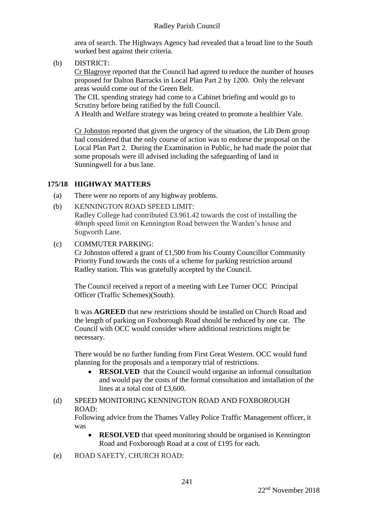### Radley Parish Council

area of search. The Highways Agency had revealed that a broad line to the South worked best against their criteria.

(b) DISTRICT:

Cr Blagrove reported that the Council had agreed to reduce the number of houses proposed for Dalton Barracks in Local Plan Part 2 by 1200. Only the relevant areas would come out of the Green Belt.

The CIL spending strategy had come to a Cabinet briefing and would go to Scrutiny before being ratified by the full Council.

A Health and Welfare strategy was being created to promote a healthier Vale.

Cr Johnston reported that given the urgency of the situation, the Lib Dem group had considered that the only course of action was to endorse the proposal on the Local Plan Part 2. During the Examination in Public, he had made the point that some proposals were ill advised including the safeguarding of land in Sunningwell for a bus lane.

### **175/18 HIGHWAY MATTERS**

- (a) There were no reports of any highway problems.
- (b) KENNINGTON ROAD SPEED LIMIT:

Radley College had contributed £3.961.42 towards the cost of installing the 40mph speed limit on Kennington Road between the Warden's house and Sugworth Lane.

(c) COMMUTER PARKING:

Cr Johnston offered a grant of £1,500 from his County Councillor Community Priority Fund towards the costs of a scheme for parking restriction around Radley station. This was gratefully accepted by the Council.

The Council received a report of a meeting with Lee Turner OCC Principal Officer (Traffic Schemes)(South).

It was **AGREED** that new restrictions should be installed on Church Road and the length of parking on Foxborough Road should be reduced by one car. The Council with OCC would consider where additional restrictions might be necessary.

There would be no further funding from First Great Western. OCC would fund planning for the proposals and a temporary trial of restrictions.

• **RESOLVED** that the Council would organise an informal consultation and would pay the costs of the formal consultation and installation of the lines at a total cost of £3,600.

# (d) SPEED MONITORING KENNINGTON ROAD AND FOXBOROUGH ROAD:

Following advice from the Thames Valley Police Traffic Management officer, it was

- **RESOLVED** that speed monitoring should be organised in Kennington Road and Foxborough Road at a cost of £195 for each.
- (e) ROAD SAFETY, CHURCH ROAD: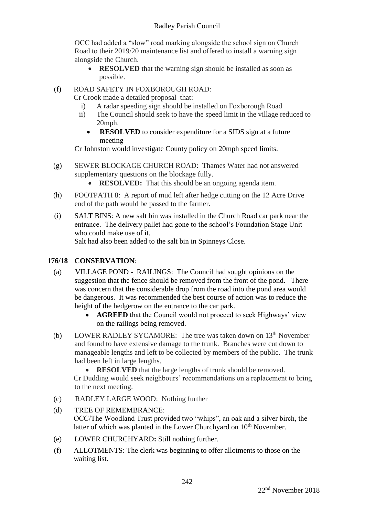# Radley Parish Council

OCC had added a "slow" road marking alongside the school sign on Church Road to their 2019/20 maintenance list and offered to install a warning sign alongside the Church.

• **RESOLVED** that the warning sign should be installed as soon as possible.

# (f) ROAD SAFETY IN FOXBOROUGH ROAD:

Cr Crook made a detailed proposal that:

- i) A radar speeding sign should be installed on Foxborough Road
- ii) The Council should seek to have the speed limit in the village reduced to 20mph.
	- **RESOLVED** to consider expenditure for a SIDS sign at a future meeting

Cr Johnston would investigate County policy on 20mph speed limits.

- (g) SEWER BLOCKAGE CHURCH ROAD: Thames Water had not answered supplementary questions on the blockage fully.
	- **RESOLVED:** That this should be an ongoing agenda item.
- (h) FOOTPATH 8: A report of mud left after hedge cutting on the 12 Acre Drive end of the path would be passed to the farmer.
- (i) SALT BINS: A new salt bin was installed in the Church Road car park near the entrance. The delivery pallet had gone to the school's Foundation Stage Unit who could make use of it.

Salt had also been added to the salt bin in Spinneys Close.

## **176/18 CONSERVATION**:

- (a) VILLAGE POND RAILINGS: The Council had sought opinions on the suggestion that the fence should be removed from the front of the pond. There was concern that the considerable drop from the road into the pond area would be dangerous. It was recommended the best course of action was to reduce the height of the hedgerow on the entrance to the car park.
	- **AGREED** that the Council would not proceed to seek Highways' view on the railings being removed.
- (b) LOWER RADLEY SYCAMORE: The tree was taken down on 13<sup>th</sup> November and found to have extensive damage to the trunk. Branches were cut down to manageable lengths and left to be collected by members of the public. The trunk had been left in large lengths.
	- **RESOLVED** that the large lengths of trunk should be removed.

Cr Dudding would seek neighbours' recommendations on a replacement to bring to the next meeting.

- (c) RADLEY LARGE WOOD: Nothing further
- (d) TREE OF REMEMBRANCE: OCC/The Woodland Trust provided two "whips", an oak and a silver birch, the latter of which was planted in the Lower Churchyard on 10<sup>th</sup> November.
- (e) LOWER CHURCHYARD**:** Still nothing further.
- (f) ALLOTMENTS: The clerk was beginning to offer allotments to those on the waiting list.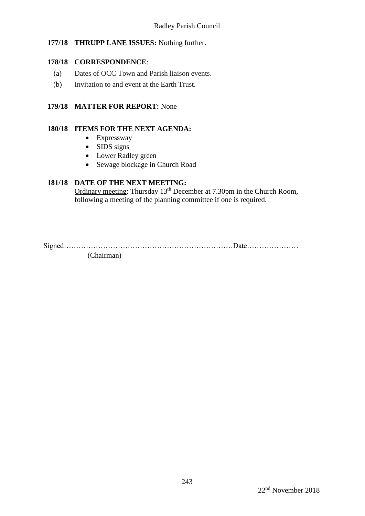## **177/18 THRUPP LANE ISSUES:** Nothing further.

### **178/18 CORRESPONDENCE**:

- (a) Dates of OCC Town and Parish liaison events.
- (b) Invitation to and event at the Earth Trust.

## **179/18 MATTER FOR REPORT:** None

#### **180/18 ITEMS FOR THE NEXT AGENDA:**

- Expressway
- SIDS signs
- Lower Radley green
- Sewage blockage in Church Road

## **181/18 DATE OF THE NEXT MEETING:**

Ordinary meeting: Thursday 13<sup>th</sup> December at 7.30pm in the Church Room, following a meeting of the planning committee if one is required.

Signed……………………………………………………………Date………………… (Chairman)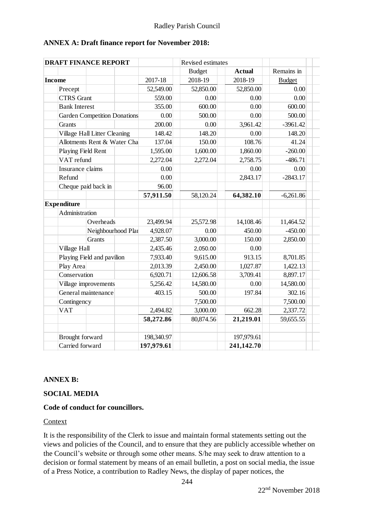## **ANNEX A: Draft finance report for November 2018:**

| <b>Income</b><br>Precept<br>Grants | <b>CTRS</b> Grant<br><b>Bank Interest</b><br><b>Garden Competition Donations</b> | 2017-18<br>52,549.00<br>559.00<br>355.00 | <b>Budget</b><br>2018-19<br>52,850.00 | <b>Actual</b> | Remains in    |  |
|------------------------------------|----------------------------------------------------------------------------------|------------------------------------------|---------------------------------------|---------------|---------------|--|
|                                    |                                                                                  |                                          |                                       |               |               |  |
|                                    |                                                                                  |                                          |                                       | 2018-19       | <b>Budget</b> |  |
|                                    |                                                                                  |                                          |                                       | 52,850.00     | 0.00          |  |
|                                    |                                                                                  |                                          | 0.00                                  | 0.00          | 0.00          |  |
|                                    |                                                                                  |                                          | 600.00                                | 0.00          | 600.00        |  |
|                                    |                                                                                  | 0.00                                     | 500.00                                | 0.00          | 500.00        |  |
|                                    |                                                                                  | 200.00                                   | 0.00                                  | 3,961.42      | $-3961.42$    |  |
|                                    | Village Hall Litter Cleaning                                                     |                                          | 148.20                                | 0.00          | 148.20        |  |
|                                    | Allotments Rent & Water Cha                                                      |                                          | 150.00                                | 108.76        | 41.24         |  |
|                                    | Playing Field Rent                                                               |                                          | 1,600.00                              | 1,860.00      | $-260.00$     |  |
|                                    | VAT refund                                                                       |                                          | 2,272.04                              | 2,758.75      | $-486.71$     |  |
|                                    | Insurance claims                                                                 |                                          |                                       | 0.00          | 0.00          |  |
| Refund                             |                                                                                  | 0.00<br>0.00                             |                                       | 2,843.17      | $-2843.17$    |  |
|                                    | Cheque paid back in                                                              | 96.00                                    |                                       |               |               |  |
|                                    |                                                                                  | 57,911.50                                | 58,120.24                             | 64,382.10     | $-6,261.86$   |  |
| <b>Expenditure</b>                 |                                                                                  |                                          |                                       |               |               |  |
|                                    | Administration                                                                   |                                          |                                       |               |               |  |
|                                    | Overheads                                                                        | 23,499.94                                | 25,572.98                             | 14,108.46     | 11,464.52     |  |
|                                    | Neighbourhood Plan                                                               | 4,928.07                                 | 0.00                                  | 450.00        | $-450.00$     |  |
|                                    | Grants                                                                           | 2,387.50                                 | 3,000.00                              | 150.00        | 2,850.00      |  |
|                                    | Village Hall                                                                     |                                          | 2,050.00                              | 0.00          |               |  |
|                                    | Playing Field and pavilion                                                       | 2,435.46<br>7,933.40                     | 9,615.00                              | 913.15        | 8,701.85      |  |
|                                    | Play Area                                                                        |                                          | 2,450.00                              | 1,027.87      | 1,422.13      |  |
|                                    | Conservation                                                                     | 2,013.39<br>6,920.71                     | 12,606.58                             | 3,709.41      | 8,897.17      |  |
|                                    | Village improvements                                                             |                                          | 14,580.00                             | 0.00          | 14,580.00     |  |
|                                    | General maintenance                                                              | 5,256.42<br>403.15                       | 500.00                                | 197.84        | 302.16        |  |
|                                    | Contingency                                                                      |                                          | 7,500.00                              |               | 7,500.00      |  |
| <b>VAT</b>                         |                                                                                  | 2,494.82                                 | 3,000.00                              | 662.28        | 2,337.72      |  |
|                                    |                                                                                  | 58,272.86                                | 80,874.56                             | 21,219.01     | 59,655.55     |  |
|                                    |                                                                                  |                                          |                                       |               |               |  |
|                                    | Brought forward                                                                  |                                          |                                       | 197,979.61    |               |  |
|                                    | Carried forward                                                                  | 197,979.61                               |                                       | 241,142.70    |               |  |

### **ANNEX B:**

### **SOCIAL MEDIA**

### **Code of conduct for councillors.**

### Context